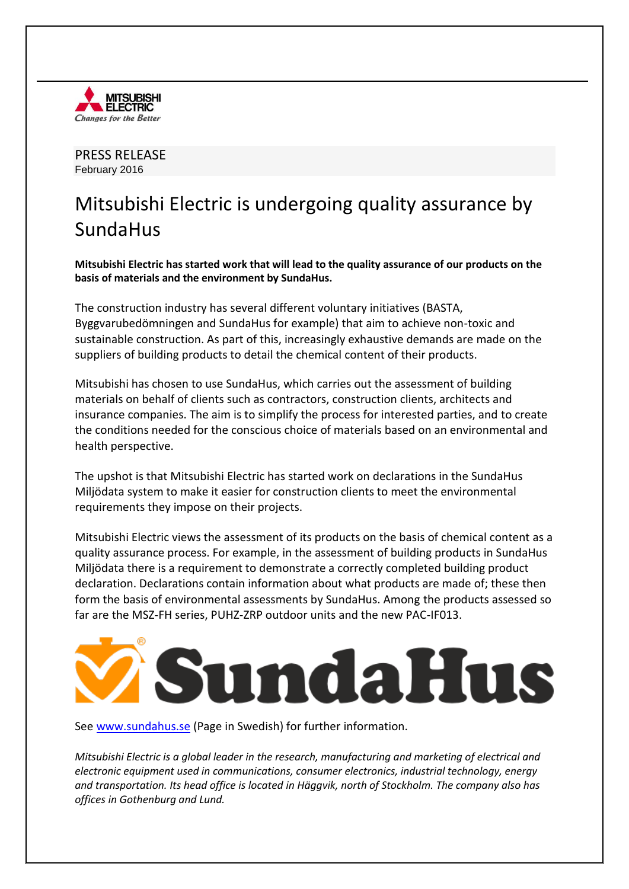

PRESS RELEASE February 2016

## Mitsubishi Electric is undergoing quality assurance by SundaHus

**Mitsubishi Electric has started work that will lead to the quality assurance of our products on the basis of materials and the environment by SundaHus.** 

The construction industry has several different voluntary initiatives (BASTA, Byggvarubedömningen and SundaHus for example) that aim to achieve non-toxic and sustainable construction. As part of this, increasingly exhaustive demands are made on the suppliers of building products to detail the chemical content of their products.

Mitsubishi has chosen to use SundaHus, which carries out the assessment of building materials on behalf of clients such as contractors, construction clients, architects and insurance companies. The aim is to simplify the process for interested parties, and to create the conditions needed for the conscious choice of materials based on an environmental and health perspective.

The upshot is that Mitsubishi Electric has started work on declarations in the SundaHus Miljödata system to make it easier for construction clients to meet the environmental requirements they impose on their projects.

Mitsubishi Electric views the assessment of its products on the basis of chemical content as a quality assurance process. For example, in the assessment of building products in SundaHus Miljödata there is a requirement to demonstrate a correctly completed building product declaration. Declarations contain information about what products are made of; these then form the basis of environmental assessments by SundaHus. Among the products assessed so far are the MSZ-FH series, PUHZ-ZRP outdoor units and the new PAC-IF013.



See [www.sundahus.se](http://www.sundahus.se/) (Page in Swedish) for further information.

*Mitsubishi Electric is a global leader in the research, manufacturing and marketing of electrical and electronic equipment used in communications, consumer electronics, industrial technology, energy and transportation. Its head office is located in Häggvik, north of Stockholm. The company also has offices in Gothenburg and Lund.*